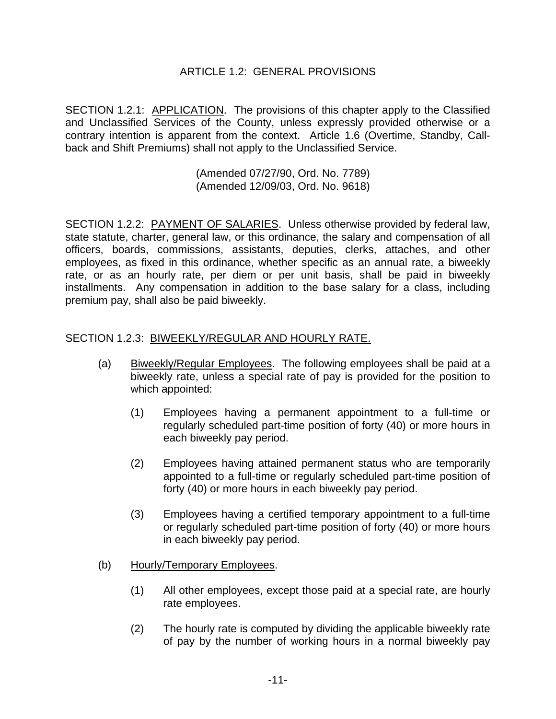## ARTICLE 1.2: GENERAL PROVISIONS

SECTION 1.2.1: APPLICATION. The provisions of this chapter apply to the Classified and Unclassified Services of the County, unless expressly provided otherwise or a contrary intention is apparent from the context. Article 1.6 (Overtime, Standby, Callback and Shift Premiums) shall not apply to the Unclassified Service.

> (Amended 07/27/90, Ord. No. 7789) (Amended 12/09/03, Ord. No. 9618)

SECTION 1.2.2: PAYMENT OF SALARIES. Unless otherwise provided by federal law, state statute, charter, general law, or this ordinance, the salary and compensation of all officers, boards, commissions, assistants, deputies, clerks, attaches, and other employees, as fixed in this ordinance, whether specific as an annual rate, a biweekly rate, or as an hourly rate, per diem or per unit basis, shall be paid in biweekly installments. Any compensation in addition to the base salary for a class, including premium pay, shall also be paid biweekly.

## SECTION 1.2.3: BIWEEKLY/REGULAR AND HOURLY RATE.

- (a) Biweekly/Regular Employees. The following employees shall be paid at a biweekly rate, unless a special rate of pay is provided for the position to which appointed:
	- (1) Employees having a permanent appointment to a full-time or regularly scheduled part-time position of forty (40) or more hours in each biweekly pay period.
	- (2) Employees having attained permanent status who are temporarily appointed to a full-time or regularly scheduled part-time position of forty (40) or more hours in each biweekly pay period.
	- (3) Employees having a certified temporary appointment to a full-time or regularly scheduled part-time position of forty (40) or more hours in each biweekly pay period.
- (b) Hourly/Temporary Employees.
	- (1) All other employees, except those paid at a special rate, are hourly rate employees.
	- (2) The hourly rate is computed by dividing the applicable biweekly rate of pay by the number of working hours in a normal biweekly pay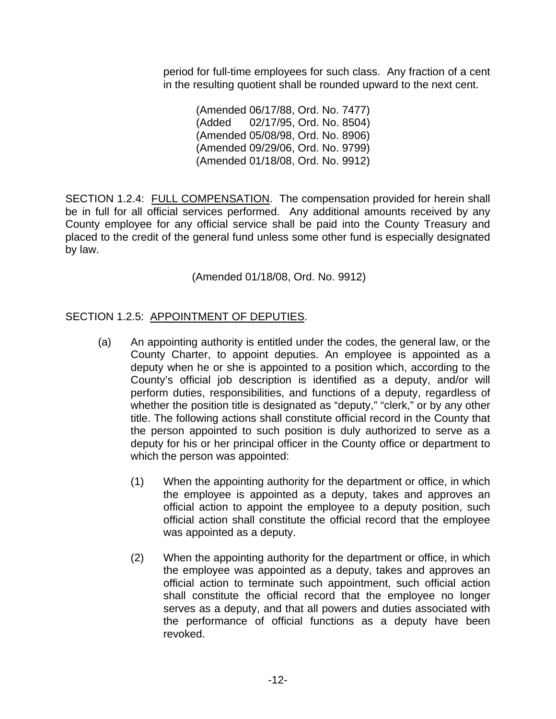period for full-time employees for such class. Any fraction of a cent in the resulting quotient shall be rounded upward to the next cent.

> (Amended 06/17/88, Ord. No. 7477) (Added 02/17/95, Ord. No. 8504) (Amended 05/08/98, Ord. No. 8906) (Amended 09/29/06, Ord. No. 9799) (Amended 01/18/08, Ord. No. 9912)

SECTION 1.2.4: FULL COMPENSATION. The compensation provided for herein shall be in full for all official services performed. Any additional amounts received by any County employee for any official service shall be paid into the County Treasury and placed to the credit of the general fund unless some other fund is especially designated by law.

(Amended 01/18/08, Ord. No. 9912)

## SECTION 1.2.5: APPOINTMENT OF DEPUTIES.

- (a) An appointing authority is entitled under the codes, the general law, or the County Charter, to appoint deputies. An employee is appointed as a deputy when he or she is appointed to a position which, according to the County's official job description is identified as a deputy, and/or will perform duties, responsibilities, and functions of a deputy, regardless of whether the position title is designated as "deputy," "clerk," or by any other title. The following actions shall constitute official record in the County that the person appointed to such position is duly authorized to serve as a deputy for his or her principal officer in the County office or department to which the person was appointed:
	- (1) When the appointing authority for the department or office, in which the employee is appointed as a deputy, takes and approves an official action to appoint the employee to a deputy position, such official action shall constitute the official record that the employee was appointed as a deputy.
	- (2) When the appointing authority for the department or office, in which the employee was appointed as a deputy, takes and approves an official action to terminate such appointment, such official action shall constitute the official record that the employee no longer serves as a deputy, and that all powers and duties associated with the performance of official functions as a deputy have been revoked.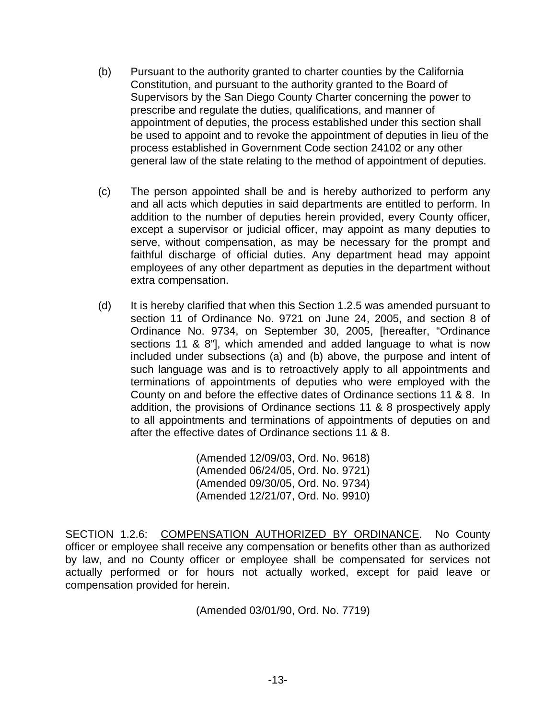- (b) Pursuant to the authority granted to charter counties by the California Constitution, and pursuant to the authority granted to the Board of Supervisors by the San Diego County Charter concerning the power to prescribe and regulate the duties, qualifications, and manner of appointment of deputies, the process established under this section shall be used to appoint and to revoke the appointment of deputies in lieu of the process established in Government Code section 24102 or any other general law of the state relating to the method of appointment of deputies.
- (c) The person appointed shall be and is hereby authorized to perform any and all acts which deputies in said departments are entitled to perform. In addition to the number of deputies herein provided, every County officer, except a supervisor or judicial officer, may appoint as many deputies to serve, without compensation, as may be necessary for the prompt and faithful discharge of official duties. Any department head may appoint employees of any other department as deputies in the department without extra compensation.
- (d) It is hereby clarified that when this Section 1.2.5 was amended pursuant to section 11 of Ordinance No. 9721 on June 24, 2005, and section 8 of Ordinance No. 9734, on September 30, 2005, [hereafter, "Ordinance sections 11 & 8"], which amended and added language to what is now included under subsections (a) and (b) above, the purpose and intent of such language was and is to retroactively apply to all appointments and terminations of appointments of deputies who were employed with the County on and before the effective dates of Ordinance sections 11 & 8. In addition, the provisions of Ordinance sections 11 & 8 prospectively apply to all appointments and terminations of appointments of deputies on and after the effective dates of Ordinance sections 11 & 8.

 (Amended 12/09/03, Ord. No. 9618) (Amended 06/24/05, Ord. No. 9721) (Amended 09/30/05, Ord. No. 9734) (Amended 12/21/07, Ord. No. 9910)

SECTION 1.2.6: COMPENSATION AUTHORIZED BY ORDINANCE. No County officer or employee shall receive any compensation or benefits other than as authorized by law, and no County officer or employee shall be compensated for services not actually performed or for hours not actually worked, except for paid leave or compensation provided for herein.

(Amended 03/01/90, Ord. No. 7719)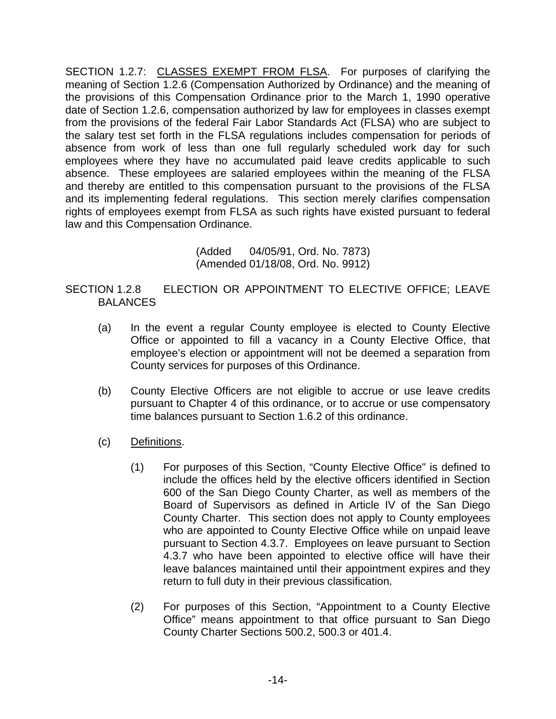SECTION 1.2.7: CLASSES EXEMPT FROM FLSA. For purposes of clarifying the meaning of Section 1.2.6 (Compensation Authorized by Ordinance) and the meaning of the provisions of this Compensation Ordinance prior to the March 1, 1990 operative date of Section 1.2.6, compensation authorized by law for employees in classes exempt from the provisions of the federal Fair Labor Standards Act (FLSA) who are subject to the salary test set forth in the FLSA regulations includes compensation for periods of absence from work of less than one full regularly scheduled work day for such employees where they have no accumulated paid leave credits applicable to such absence. These employees are salaried employees within the meaning of the FLSA and thereby are entitled to this compensation pursuant to the provisions of the FLSA and its implementing federal regulations. This section merely clarifies compensation rights of employees exempt from FLSA as such rights have existed pursuant to federal law and this Compensation Ordinance.

> (Added 04/05/91, Ord. No. 7873) (Amended 01/18/08, Ord. No. 9912)

SECTION 1.2.8 ELECTION OR APPOINTMENT TO ELECTIVE OFFICE; LEAVE BALANCES

- (a) In the event a regular County employee is elected to County Elective Office or appointed to fill a vacancy in a County Elective Office, that employee's election or appointment will not be deemed a separation from County services for purposes of this Ordinance.
- (b) County Elective Officers are not eligible to accrue or use leave credits pursuant to Chapter 4 of this ordinance, or to accrue or use compensatory time balances pursuant to Section 1.6.2 of this ordinance.
- (c) Definitions.
	- (1) For purposes of this Section, "County Elective Office" is defined to include the offices held by the elective officers identified in Section 600 of the San Diego County Charter, as well as members of the Board of Supervisors as defined in Article IV of the San Diego County Charter. This section does not apply to County employees who are appointed to County Elective Office while on unpaid leave pursuant to Section 4.3.7. Employees on leave pursuant to Section 4.3.7 who have been appointed to elective office will have their leave balances maintained until their appointment expires and they return to full duty in their previous classification.
	- (2) For purposes of this Section, "Appointment to a County Elective Office" means appointment to that office pursuant to San Diego County Charter Sections 500.2, 500.3 or 401.4.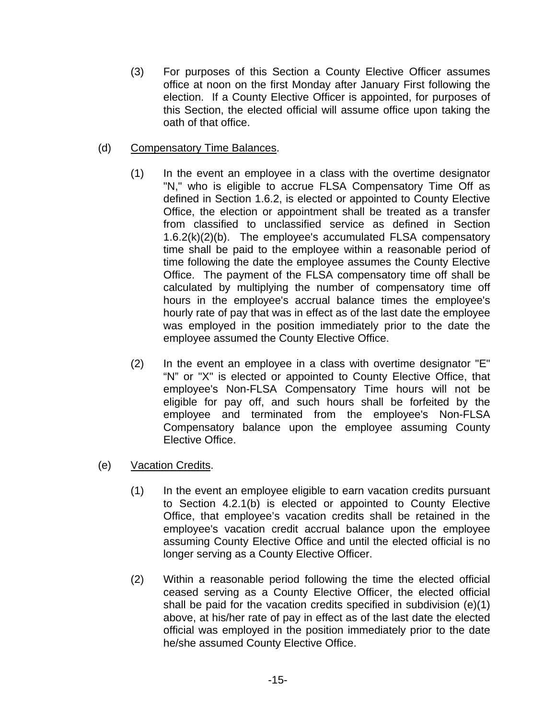- (3) For purposes of this Section a County Elective Officer assumes office at noon on the first Monday after January First following the election. If a County Elective Officer is appointed, for purposes of this Section, the elected official will assume office upon taking the oath of that office.
- (d) Compensatory Time Balances.
	- (1) In the event an employee in a class with the overtime designator "N," who is eligible to accrue FLSA Compensatory Time Off as defined in Section 1.6.2, is elected or appointed to County Elective Office, the election or appointment shall be treated as a transfer from classified to unclassified service as defined in Section 1.6.2(k)(2)(b). The employee's accumulated FLSA compensatory time shall be paid to the employee within a reasonable period of time following the date the employee assumes the County Elective Office. The payment of the FLSA compensatory time off shall be calculated by multiplying the number of compensatory time off hours in the employee's accrual balance times the employee's hourly rate of pay that was in effect as of the last date the employee was employed in the position immediately prior to the date the employee assumed the County Elective Office.
	- (2) In the event an employee in a class with overtime designator "E" "N" or "X" is elected or appointed to County Elective Office, that employee's Non-FLSA Compensatory Time hours will not be eligible for pay off, and such hours shall be forfeited by the employee and terminated from the employee's Non-FLSA Compensatory balance upon the employee assuming County Elective Office.
- (e) Vacation Credits.
	- (1) In the event an employee eligible to earn vacation credits pursuant to Section 4.2.1(b) is elected or appointed to County Elective Office, that employee's vacation credits shall be retained in the employee's vacation credit accrual balance upon the employee assuming County Elective Office and until the elected official is no longer serving as a County Elective Officer.
	- (2) Within a reasonable period following the time the elected official ceased serving as a County Elective Officer, the elected official shall be paid for the vacation credits specified in subdivision (e)(1) above, at his/her rate of pay in effect as of the last date the elected official was employed in the position immediately prior to the date he/she assumed County Elective Office.